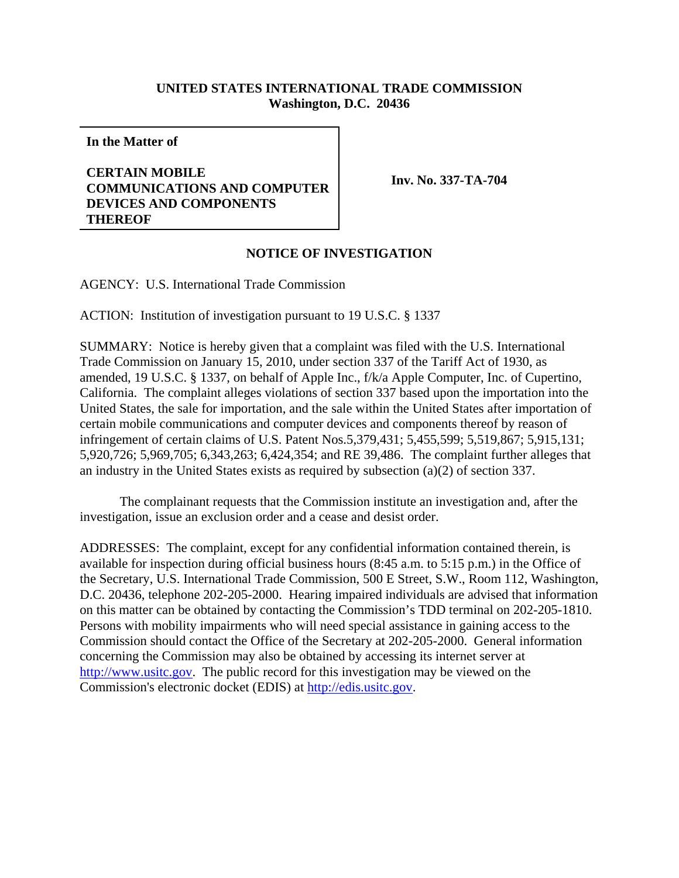## **UNITED STATES INTERNATIONAL TRADE COMMISSION Washington, D.C. 20436**

**In the Matter of**

## **CERTAIN MOBILE COMMUNICATIONS AND COMPUTER DEVICES AND COMPONENTS THEREOF**

**Inv. No. 337-TA-704**

## **NOTICE OF INVESTIGATION**

AGENCY: U.S. International Trade Commission

ACTION: Institution of investigation pursuant to 19 U.S.C. § 1337

SUMMARY: Notice is hereby given that a complaint was filed with the U.S. International Trade Commission on January 15, 2010, under section 337 of the Tariff Act of 1930, as amended, 19 U.S.C. § 1337, on behalf of Apple Inc., f/k/a Apple Computer, Inc. of Cupertino, California. The complaint alleges violations of section 337 based upon the importation into the United States, the sale for importation, and the sale within the United States after importation of certain mobile communications and computer devices and components thereof by reason of infringement of certain claims of U.S. Patent Nos.5,379,431; 5,455,599; 5,519,867; 5,915,131; 5,920,726; 5,969,705; 6,343,263; 6,424,354; and RE 39,486. The complaint further alleges that an industry in the United States exists as required by subsection (a)(2) of section 337.

The complainant requests that the Commission institute an investigation and, after the investigation, issue an exclusion order and a cease and desist order.

ADDRESSES: The complaint, except for any confidential information contained therein, is available for inspection during official business hours (8:45 a.m. to 5:15 p.m.) in the Office of the Secretary, U.S. International Trade Commission, 500 E Street, S.W., Room 112, Washington, D.C. 20436, telephone 202-205-2000. Hearing impaired individuals are advised that information on this matter can be obtained by contacting the Commission's TDD terminal on 202-205-1810. Persons with mobility impairments who will need special assistance in gaining access to the Commission should contact the Office of the Secretary at 202-205-2000. General information concerning the Commission may also be obtained by accessing its internet server at http://www.usitc.gov. The public record for this investigation may be viewed on the Commission's electronic docket (EDIS) at http://edis.usitc.gov.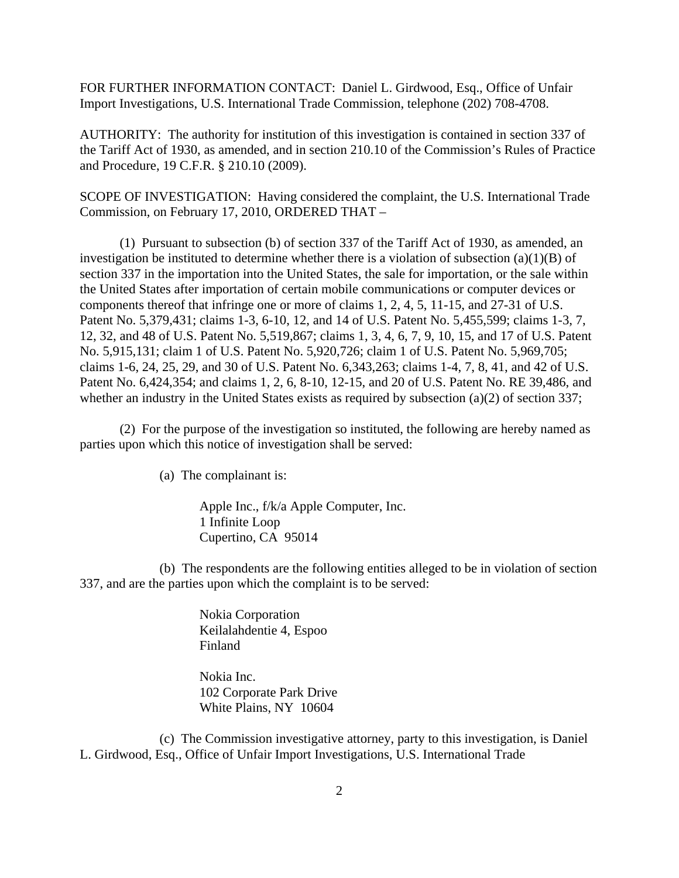FOR FURTHER INFORMATION CONTACT: Daniel L. Girdwood, Esq., Office of Unfair Import Investigations, U.S. International Trade Commission, telephone (202) 708-4708.

AUTHORITY: The authority for institution of this investigation is contained in section 337 of the Tariff Act of 1930, as amended, and in section 210.10 of the Commission's Rules of Practice and Procedure, 19 C.F.R. § 210.10 (2009).

SCOPE OF INVESTIGATION: Having considered the complaint, the U.S. International Trade Commission, on February 17, 2010, ORDERED THAT –

(1) Pursuant to subsection (b) of section 337 of the Tariff Act of 1930, as amended, an investigation be instituted to determine whether there is a violation of subsection (a)(1)(B) of section 337 in the importation into the United States, the sale for importation, or the sale within the United States after importation of certain mobile communications or computer devices or components thereof that infringe one or more of claims 1, 2, 4, 5, 11-15, and 27-31 of U.S. Patent No. 5,379,431; claims 1-3, 6-10, 12, and 14 of U.S. Patent No. 5,455,599; claims 1-3, 7, 12, 32, and 48 of U.S. Patent No. 5,519,867; claims 1, 3, 4, 6, 7, 9, 10, 15, and 17 of U.S. Patent No. 5,915,131; claim 1 of U.S. Patent No. 5,920,726; claim 1 of U.S. Patent No. 5,969,705; claims 1-6, 24, 25, 29, and 30 of U.S. Patent No. 6,343,263; claims 1-4, 7, 8, 41, and 42 of U.S. Patent No. 6,424,354; and claims 1, 2, 6, 8-10, 12-15, and 20 of U.S. Patent No. RE 39,486, and whether an industry in the United States exists as required by subsection (a)(2) of section 337;

(2) For the purpose of the investigation so instituted, the following are hereby named as parties upon which this notice of investigation shall be served:

(a) The complainant is:

Apple Inc., f/k/a Apple Computer, Inc. 1 Infinite Loop Cupertino, CA 95014

(b) The respondents are the following entities alleged to be in violation of section 337, and are the parties upon which the complaint is to be served:

> Nokia Corporation Keilalahdentie 4, Espoo Finland

Nokia Inc. 102 Corporate Park Drive White Plains, NY 10604

(c) The Commission investigative attorney, party to this investigation, is Daniel L. Girdwood, Esq., Office of Unfair Import Investigations, U.S. International Trade